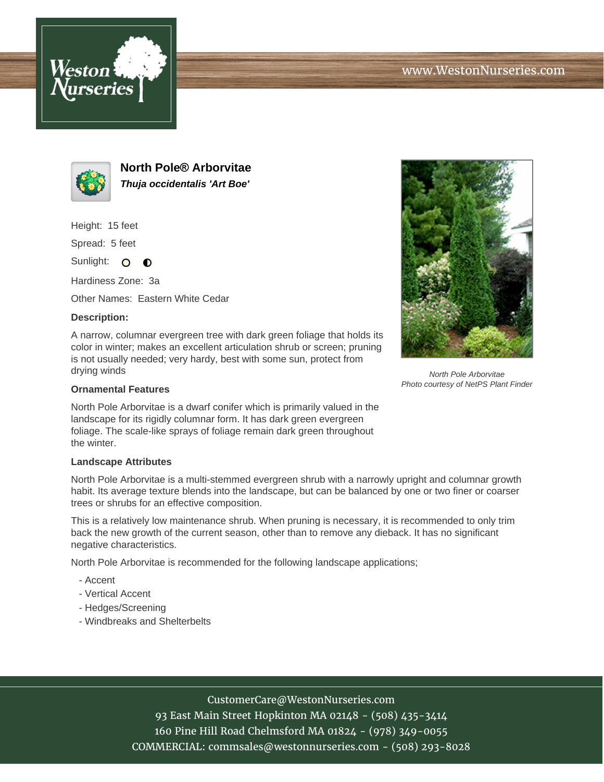



**North Pole® Arborvitae Thuja occidentalis 'Art Boe'**

Height: 15 feet

Spread: 5 feet

Sunlight: O **O** 

Hardiness Zone: 3a

Other Names: Eastern White Cedar

## **Description:**

A narrow, columnar evergreen tree with dark green foliage that holds its color in winter; makes an excellent articulation shrub or screen; pruning is not usually needed; very hardy, best with some sun, protect from drying winds

## **Ornamental Features**

North Pole Arborvitae is a dwarf conifer which is primarily valued in the landscape for its rigidly columnar form. It has dark green evergreen foliage. The scale-like sprays of foliage remain dark green throughout the winter.

## **Landscape Attributes**

North Pole Arborvitae is a multi-stemmed evergreen shrub with a narrowly upright and columnar growth habit. Its average texture blends into the landscape, but can be balanced by one or two finer or coarser trees or shrubs for an effective composition.

This is a relatively low maintenance shrub. When pruning is necessary, it is recommended to only trim back the new growth of the current season, other than to remove any dieback. It has no significant negative characteristics.

North Pole Arborvitae is recommended for the following landscape applications;

- Accent
- Vertical Accent
- Hedges/Screening
- Windbreaks and Shelterbelts



93 East Main Street Hopkinton MA 02148 - (508) 435-3414 160 Pine Hill Road Chelmsford MA 01824 - (978) 349-0055 COMMERCIAL: commsales@westonnurseries.com - (508) 293-8028



North Pole Arborvitae Photo courtesy of NetPS Plant Finder